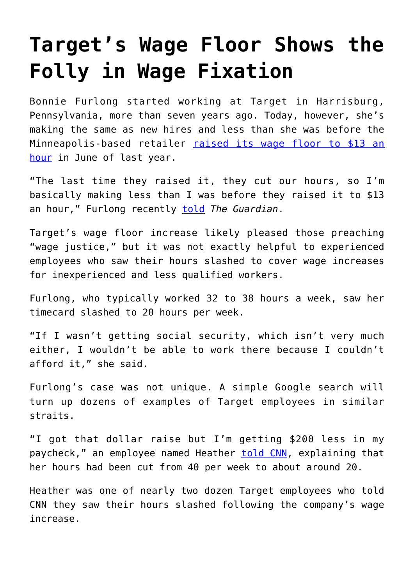## **[Target's Wage Floor Shows the](https://intellectualtakeout.org/2020/03/targets-wage-floor-shows-the-folly-in-wage-fixation/) [Folly in Wage Fixation](https://intellectualtakeout.org/2020/03/targets-wage-floor-shows-the-folly-in-wage-fixation/)**

Bonnie Furlong started working at Target in Harrisburg, Pennsylvania, more than seven years ago. Today, however, she's making the same as new hires and less than she was before the Minneapolis-based retailer [raised its wage floor to \\$13 an](https://www.cnbc.com/2019/04/04/target-raises-its-minimum-wage-to-13-an-hour-aims-for-15-by-2020.html) [hour](https://www.cnbc.com/2019/04/04/target-raises-its-minimum-wage-to-13-an-hour-aims-for-15-by-2020.html) in June of last year.

"The last time they raised it, they cut our hours, so I'm basically making less than I was before they raised it to \$13 an hour," Furlong recently [told](https://www.theguardian.com/business/2020/feb/27/target-cuts-hours-leaves-workers-struggling) *The Guardian*.

Target's wage floor increase likely pleased those preaching "wage justice," but it was not exactly helpful to experienced employees who saw their hours slashed to cover wage increases for inexperienced and less qualified workers.

Furlong, who typically worked 32 to 38 hours a week, saw her timecard slashed to 20 hours per week.

"If I wasn't getting social security, which isn't very much either, I wouldn't be able to work there because I couldn't afford it," she said.

Furlong's case was not unique. A simple Google search will turn up dozens of examples of Target employees in similar straits.

"I got that dollar raise but I'm getting \$200 less in my paycheck," an employee named Heather [told CNN,](https://www.cnn.com/2019/10/14/business/target-cutting-hours-wage-increase) explaining that her hours had been cut from 40 per week to about around 20.

Heather was one of nearly two dozen Target employees who told CNN they saw their hours slashed following the company's wage increase.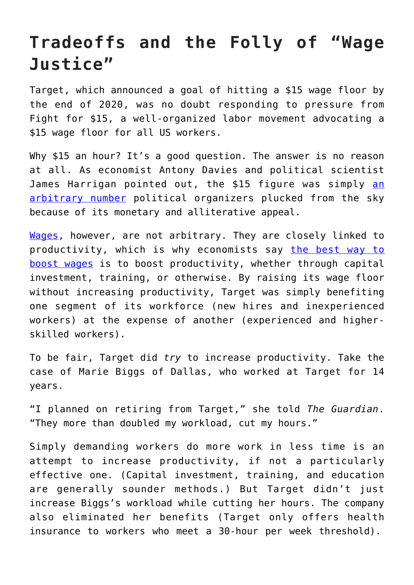## **Tradeoffs and the Folly of "Wage Justice"**

Target, which announced a goal of hitting a \$15 wage floor by the end of 2020, was no doubt responding to pressure from Fight for \$15, a well-organized labor movement advocating a \$15 wage floor for all US workers.

Why \$15 an hour? It's a good question. The answer is no reason at all. As economist Antony Davies and political scientist James Harrig[an](https://fee.org/articles/the-case-for-abolishing-minimum-wage-laws/) pointed out, the \$15 figure was simply an [arbitrary number](https://fee.org/articles/the-case-for-abolishing-minimum-wage-laws/) political organizers plucked from the sky because of its monetary and alliterative appeal.

[Wages](https://fee.org/learning-center/concepts/wages/take-this-job-and-shove-it-at-the-margin/), however, are not arbitrary. They are closely linked to productivity, which is why economists say [the best way to](https://www.americanexperiment.org/2017/06/increasing-productivity-not-the-minimum-wage-is-the-way-to-increase-workers-pay/) [boost wages](https://www.americanexperiment.org/2017/06/increasing-productivity-not-the-minimum-wage-is-the-way-to-increase-workers-pay/) is to boost productivity, whether through capital investment, training, or otherwise. By raising its wage floor without increasing productivity, Target was simply benefiting one segment of its workforce (new hires and inexperienced workers) at the expense of another (experienced and higherskilled workers).

To be fair, Target did *try* to increase productivity. Take the case of Marie Biggs of Dallas, who worked at Target for 14 years.

"I planned on retiring from Target," she told *The Guardian*. "They more than doubled my workload, cut my hours."

Simply demanding workers do more work in less time is an attempt to increase productivity, if not a particularly effective one. (Capital investment, training, and education are generally sounder methods.) But Target didn't just increase Biggs's workload while cutting her hours. The company also eliminated her benefits (Target only offers health insurance to workers who meet a 30-hour per week threshold).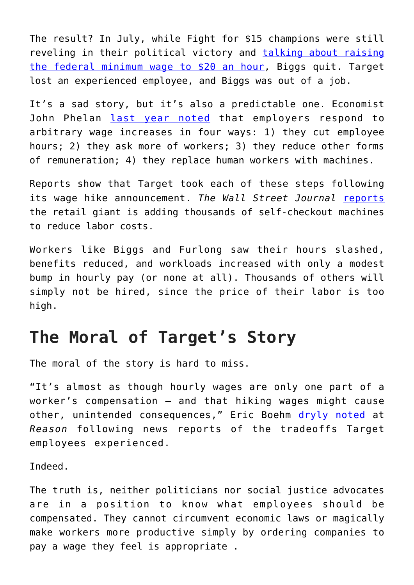The result? In July, while Fight for \$15 champions were still reveling in their political victory and [talking about raising](https://www.washingtonexaminer.com/news/rashida-tlaib-the-federal-minimum-wage-should-be-20-an-hour) [the federal minimum wage to \\$20 an hour](https://www.washingtonexaminer.com/news/rashida-tlaib-the-federal-minimum-wage-should-be-20-an-hour), Biggs quit. Target lost an experienced employee, and Biggs was out of a job.

It's a sad story, but it's also a predictable one. Economist John Phelan [last year noted](https://fee.org/articles/4-ways-employers-respond-to-minimum-wage-laws-besides-laying-off-workers/) that employers respond to arbitrary wage increases in four ways: 1) they cut employee hours; 2) they ask more of workers; 3) they reduce other forms of remuneration; 4) they replace human workers with machines.

Reports show that Target took each of these steps following its wage hike announcement. *The Wall Street Journal* [reports](https://www.wsj.com/articles/stores-and-shoppers-agree-self-checkout-is-hard-11581606705) the retail giant is adding thousands of self-checkout machines to reduce labor costs.

Workers like Biggs and Furlong saw their hours slashed, benefits reduced, and workloads increased with only a modest bump in hourly pay (or none at all). Thousands of others will simply not be hired, since the price of their labor is too high.

## **The Moral of Target's Story**

The moral of the story is hard to miss.

"It's almost as though hourly wages are only one part of a worker's compensation – and that hiking wages might cause other, unintended consequences," Eric Boehm [dryly noted](https://reason.com/2019/10/21/target-15-bucks-per-hour-didnt-work-out/) at *Reason* following news reports of the tradeoffs Target employees experienced.

Indeed.

The truth is, neither politicians nor social justice advocates are in a position to know what employees should be compensated. They cannot circumvent economic laws or magically make workers more productive simply by ordering companies to pay a wage they feel is appropriate .